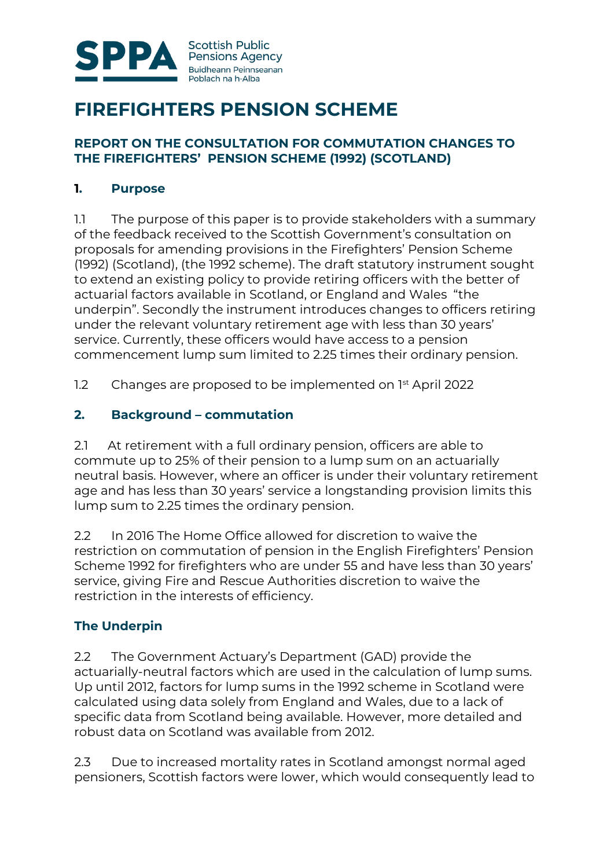

# **FIREFIGHTERS PENSION SCHEME**

#### **REPORT ON THE CONSULTATION FOR COMMUTATION CHANGES TO THE FIREFIGHTERS' PENSION SCHEME (1992) (SCOTLAND)**

#### **1. Purpose**

1.1 The purpose of this paper is to provide stakeholders with a summary of the feedback received to the Scottish Government's consultation on proposals for amending provisions in the Firefighters' Pension Scheme (1992) (Scotland), (the 1992 scheme). The draft statutory instrument sought to extend an existing policy to provide retiring officers with the better of actuarial factors available in Scotland, or England and Wales "the underpin". Secondly the instrument introduces changes to officers retiring under the relevant voluntary retirement age with less than 30 years' service. Currently, these officers would have access to a pension commencement lump sum limited to 2.25 times their ordinary pension.

1.2 Changes are proposed to be implemented on  $1<sup>st</sup>$  April 2022

## **2. Background – commutation**

2.1 At retirement with a full ordinary pension, officers are able to commute up to 25% of their pension to a lump sum on an actuarially neutral basis. However, where an officer is under their voluntary retirement age and has less than 30 years' service a longstanding provision limits this lump sum to 2.25 times the ordinary pension.

2.2 In 2016 The Home Office allowed for discretion to waive the restriction on commutation of pension in the English Firefighters' Pension Scheme 1992 for firefighters who are under 55 and have less than 30 years' service, giving Fire and Rescue Authorities discretion to waive the restriction in the interests of efficiency.

## **The Underpin**

2.2 The Government Actuary's Department (GAD) provide the actuarially-neutral factors which are used in the calculation of lump sums. Up until 2012, factors for lump sums in the 1992 scheme in Scotland were calculated using data solely from England and Wales, due to a lack of specific data from Scotland being available. However, more detailed and robust data on Scotland was available from 2012.

2.3 Due to increased mortality rates in Scotland amongst normal aged pensioners, Scottish factors were lower, which would consequently lead to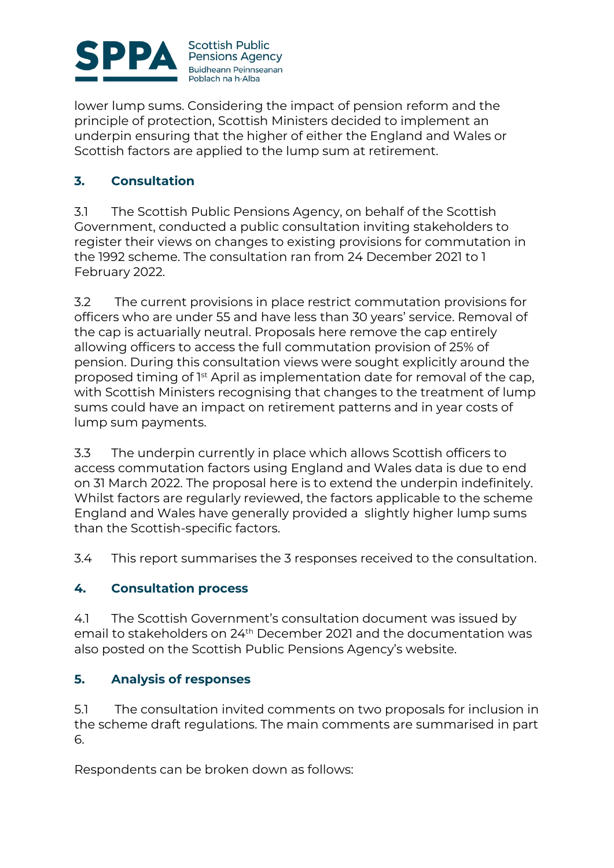

lower lump sums. Considering the impact of pension reform and the principle of protection, Scottish Ministers decided to implement an underpin ensuring that the higher of either the England and Wales or Scottish factors are applied to the lump sum at retirement.

# **3. Consultation**

3.1 The Scottish Public Pensions Agency, on behalf of the Scottish Government, conducted a public consultation inviting stakeholders to register their views on changes to existing provisions for commutation in the 1992 scheme. The consultation ran from 24 December 2021 to 1 February 2022.

3.2 The current provisions in place restrict commutation provisions for officers who are under 55 and have less than 30 years' service. Removal of the cap is actuarially neutral. Proposals here remove the cap entirely allowing officers to access the full commutation provision of 25% of pension. During this consultation views were sought explicitly around the proposed timing of 1<sup>st</sup> April as implementation date for removal of the cap, with Scottish Ministers recognising that changes to the treatment of lump sums could have an impact on retirement patterns and in year costs of lump sum payments.

3.3 The underpin currently in place which allows Scottish officers to access commutation factors using England and Wales data is due to end on 31 March 2022. The proposal here is to extend the underpin indefinitely. Whilst factors are regularly reviewed, the factors applicable to the scheme England and Wales have generally provided a slightly higher lump sums than the Scottish-specific factors.

3.4 This report summarises the 3 responses received to the consultation.

## **4. Consultation process**

4.1 The Scottish Government's consultation document was issued by email to stakeholders on 24th December 2021 and the documentation was also posted on the Scottish Public Pensions Agency's website.

## **5. Analysis of responses**

5.1 The consultation invited comments on two proposals for inclusion in the scheme draft regulations. The main comments are summarised in part 6.

Respondents can be broken down as follows: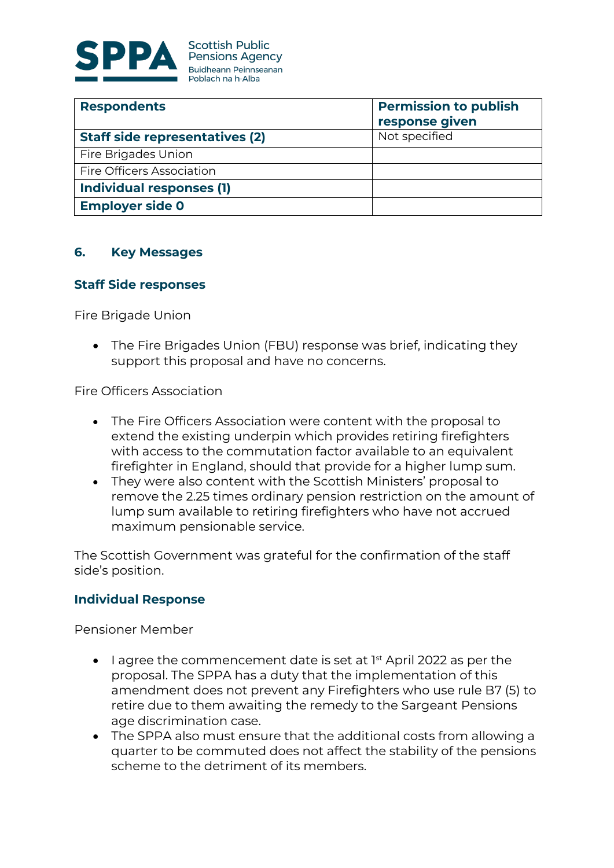

| <b>Respondents</b>                    | <b>Permission to publish</b> |
|---------------------------------------|------------------------------|
|                                       | response given               |
| <b>Staff side representatives (2)</b> | Not specified                |
| Fire Brigades Union                   |                              |
| <b>Fire Officers Association</b>      |                              |
| <b>Individual responses (1)</b>       |                              |
| <b>Employer side 0</b>                |                              |

#### **6. Key Messages**

#### **Staff Side responses**

Fire Brigade Union

 The Fire Brigades Union (FBU) response was brief, indicating they support this proposal and have no concerns.

Fire Officers Association

- The Fire Officers Association were content with the proposal to extend the existing underpin which provides retiring firefighters with access to the commutation factor available to an equivalent firefighter in England, should that provide for a higher lump sum.
- They were also content with the Scottish Ministers' proposal to remove the 2.25 times ordinary pension restriction on the amount of lump sum available to retiring firefighters who have not accrued maximum pensionable service.

The Scottish Government was grateful for the confirmation of the staff side's position.

#### **Individual Response**

Pensioner Member

- $\bullet$  lagree the commencement date is set at  $I^{st}$  April 2022 as per the proposal. The SPPA has a duty that the implementation of this amendment does not prevent any Firefighters who use rule B7 (5) to retire due to them awaiting the remedy to the Sargeant Pensions age discrimination case.
- The SPPA also must ensure that the additional costs from allowing a quarter to be commuted does not affect the stability of the pensions scheme to the detriment of its members.